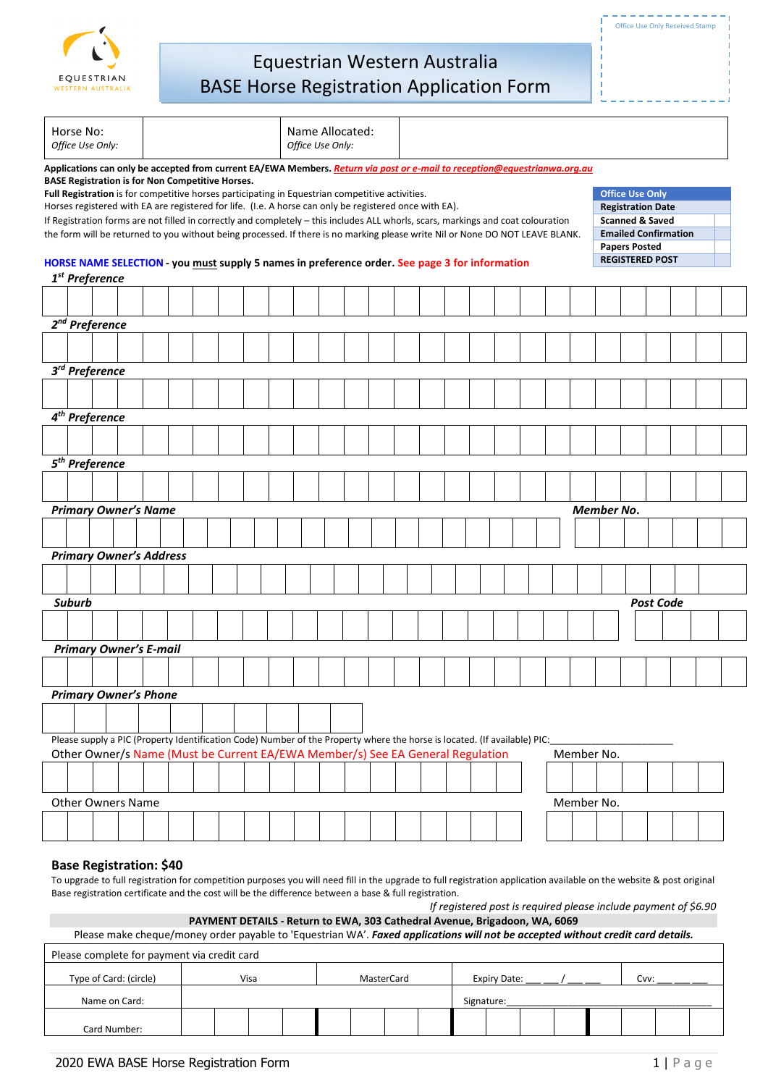

| Horse No:<br>Office Use Only:                                                                                                                                                                               |  |  |  |  |  |  |                                                                                                 |  |  | Office Use Only: | Name Allocated: |  |                                                                                                                                                                                                                                             |  |  |            |            |                                                        |                  |                             |  |
|-------------------------------------------------------------------------------------------------------------------------------------------------------------------------------------------------------------|--|--|--|--|--|--|-------------------------------------------------------------------------------------------------|--|--|------------------|-----------------|--|---------------------------------------------------------------------------------------------------------------------------------------------------------------------------------------------------------------------------------------------|--|--|------------|------------|--------------------------------------------------------|------------------|-----------------------------|--|
|                                                                                                                                                                                                             |  |  |  |  |  |  |                                                                                                 |  |  |                  |                 |  | Applications can only be accepted from current EA/EWA Members. Return via post or e-mail to reception@equestrianwa.org.au                                                                                                                   |  |  |            |            |                                                        |                  |                             |  |
| <b>BASE Registration is for Non Competitive Horses.</b>                                                                                                                                                     |  |  |  |  |  |  | Full Registration is for competitive horses participating in Equestrian competitive activities. |  |  |                  |                 |  |                                                                                                                                                                                                                                             |  |  |            |            | <b>Office Use Only</b>                                 |                  |                             |  |
|                                                                                                                                                                                                             |  |  |  |  |  |  |                                                                                                 |  |  |                  |                 |  | Horses registered with EA are registered for life. (I.e. A horse can only be registered once with EA).<br>If Registration forms are not filled in correctly and completely - this includes ALL whorls, scars, markings and coat colouration |  |  |            |            | <b>Registration Date</b><br><b>Scanned &amp; Saved</b> |                  |                             |  |
|                                                                                                                                                                                                             |  |  |  |  |  |  |                                                                                                 |  |  |                  |                 |  | the form will be returned to you without being processed. If there is no marking please write Nil or None DO NOT LEAVE BLANK.                                                                                                               |  |  |            |            |                                                        |                  | <b>Emailed Confirmation</b> |  |
|                                                                                                                                                                                                             |  |  |  |  |  |  |                                                                                                 |  |  |                  |                 |  |                                                                                                                                                                                                                                             |  |  |            |            | <b>Papers Posted</b>                                   |                  |                             |  |
|                                                                                                                                                                                                             |  |  |  |  |  |  |                                                                                                 |  |  |                  |                 |  | HORSE NAME SELECTION - you must supply 5 names in preference order. See page 3 for information                                                                                                                                              |  |  |            |            | <b>REGISTERED POST</b>                                 |                  |                             |  |
| 1 <sup>st</sup> Preference                                                                                                                                                                                  |  |  |  |  |  |  |                                                                                                 |  |  |                  |                 |  |                                                                                                                                                                                                                                             |  |  |            |            |                                                        |                  |                             |  |
|                                                                                                                                                                                                             |  |  |  |  |  |  |                                                                                                 |  |  |                  |                 |  |                                                                                                                                                                                                                                             |  |  |            |            |                                                        |                  |                             |  |
| 2 <sup>nd</sup> Preference                                                                                                                                                                                  |  |  |  |  |  |  |                                                                                                 |  |  |                  |                 |  |                                                                                                                                                                                                                                             |  |  |            |            |                                                        |                  |                             |  |
|                                                                                                                                                                                                             |  |  |  |  |  |  |                                                                                                 |  |  |                  |                 |  |                                                                                                                                                                                                                                             |  |  |            |            |                                                        |                  |                             |  |
|                                                                                                                                                                                                             |  |  |  |  |  |  |                                                                                                 |  |  |                  |                 |  |                                                                                                                                                                                                                                             |  |  |            |            |                                                        |                  |                             |  |
| 3 <sup>rd</sup> Preference                                                                                                                                                                                  |  |  |  |  |  |  |                                                                                                 |  |  |                  |                 |  |                                                                                                                                                                                                                                             |  |  |            |            |                                                        |                  |                             |  |
|                                                                                                                                                                                                             |  |  |  |  |  |  |                                                                                                 |  |  |                  |                 |  |                                                                                                                                                                                                                                             |  |  |            |            |                                                        |                  |                             |  |
|                                                                                                                                                                                                             |  |  |  |  |  |  |                                                                                                 |  |  |                  |                 |  |                                                                                                                                                                                                                                             |  |  |            |            |                                                        |                  |                             |  |
| $4^{th}$ Preference                                                                                                                                                                                         |  |  |  |  |  |  |                                                                                                 |  |  |                  |                 |  |                                                                                                                                                                                                                                             |  |  |            |            |                                                        |                  |                             |  |
|                                                                                                                                                                                                             |  |  |  |  |  |  |                                                                                                 |  |  |                  |                 |  |                                                                                                                                                                                                                                             |  |  |            |            |                                                        |                  |                             |  |
| 5 <sup>th</sup> Preference                                                                                                                                                                                  |  |  |  |  |  |  |                                                                                                 |  |  |                  |                 |  |                                                                                                                                                                                                                                             |  |  |            |            |                                                        |                  |                             |  |
|                                                                                                                                                                                                             |  |  |  |  |  |  |                                                                                                 |  |  |                  |                 |  |                                                                                                                                                                                                                                             |  |  |            |            |                                                        |                  |                             |  |
| <b>Primary Owner's Name</b>                                                                                                                                                                                 |  |  |  |  |  |  |                                                                                                 |  |  |                  |                 |  |                                                                                                                                                                                                                                             |  |  |            | Member No. |                                                        |                  |                             |  |
|                                                                                                                                                                                                             |  |  |  |  |  |  |                                                                                                 |  |  |                  |                 |  |                                                                                                                                                                                                                                             |  |  |            |            |                                                        |                  |                             |  |
|                                                                                                                                                                                                             |  |  |  |  |  |  |                                                                                                 |  |  |                  |                 |  |                                                                                                                                                                                                                                             |  |  |            |            |                                                        |                  |                             |  |
| <b>Primary Owner's Address</b>                                                                                                                                                                              |  |  |  |  |  |  |                                                                                                 |  |  |                  |                 |  |                                                                                                                                                                                                                                             |  |  |            |            |                                                        |                  |                             |  |
|                                                                                                                                                                                                             |  |  |  |  |  |  |                                                                                                 |  |  |                  |                 |  |                                                                                                                                                                                                                                             |  |  |            |            |                                                        |                  |                             |  |
| <b>Suburb</b>                                                                                                                                                                                               |  |  |  |  |  |  |                                                                                                 |  |  |                  |                 |  |                                                                                                                                                                                                                                             |  |  |            |            |                                                        | <b>Post Code</b> |                             |  |
|                                                                                                                                                                                                             |  |  |  |  |  |  |                                                                                                 |  |  |                  |                 |  |                                                                                                                                                                                                                                             |  |  |            |            |                                                        |                  |                             |  |
|                                                                                                                                                                                                             |  |  |  |  |  |  |                                                                                                 |  |  |                  |                 |  |                                                                                                                                                                                                                                             |  |  |            |            |                                                        |                  |                             |  |
| <b>Primary Owner's E-mail</b>                                                                                                                                                                               |  |  |  |  |  |  |                                                                                                 |  |  |                  |                 |  |                                                                                                                                                                                                                                             |  |  |            |            |                                                        |                  |                             |  |
|                                                                                                                                                                                                             |  |  |  |  |  |  |                                                                                                 |  |  |                  |                 |  |                                                                                                                                                                                                                                             |  |  |            |            |                                                        |                  |                             |  |
| <b>Primary Owner's Phone</b>                                                                                                                                                                                |  |  |  |  |  |  |                                                                                                 |  |  |                  |                 |  |                                                                                                                                                                                                                                             |  |  |            |            |                                                        |                  |                             |  |
|                                                                                                                                                                                                             |  |  |  |  |  |  |                                                                                                 |  |  |                  |                 |  |                                                                                                                                                                                                                                             |  |  |            |            |                                                        |                  |                             |  |
|                                                                                                                                                                                                             |  |  |  |  |  |  |                                                                                                 |  |  |                  |                 |  |                                                                                                                                                                                                                                             |  |  |            |            |                                                        |                  |                             |  |
| Please supply a PIC (Property Identification Code) Number of the Property where the horse is located. (If available) PIC:<br>Other Owner/s Name (Must be Current EA/EWA Member/s) See EA General Regulation |  |  |  |  |  |  |                                                                                                 |  |  |                  |                 |  |                                                                                                                                                                                                                                             |  |  |            |            |                                                        |                  |                             |  |
|                                                                                                                                                                                                             |  |  |  |  |  |  |                                                                                                 |  |  |                  |                 |  |                                                                                                                                                                                                                                             |  |  |            | Member No. |                                                        |                  |                             |  |
|                                                                                                                                                                                                             |  |  |  |  |  |  |                                                                                                 |  |  |                  |                 |  |                                                                                                                                                                                                                                             |  |  |            |            |                                                        |                  |                             |  |
| <b>Other Owners Name</b>                                                                                                                                                                                    |  |  |  |  |  |  |                                                                                                 |  |  |                  |                 |  |                                                                                                                                                                                                                                             |  |  | Member No. |            |                                                        |                  |                             |  |
|                                                                                                                                                                                                             |  |  |  |  |  |  |                                                                                                 |  |  |                  |                 |  |                                                                                                                                                                                                                                             |  |  |            |            |                                                        |                  |                             |  |
|                                                                                                                                                                                                             |  |  |  |  |  |  |                                                                                                 |  |  |                  |                 |  |                                                                                                                                                                                                                                             |  |  |            |            |                                                        |                  |                             |  |

## **Base Registration: \$40**

To upgrade to full registration for competition purposes you will need fill in the upgrade to full registration application available on the website & post original Base registration certificate and the cost will be the difference between a base & full registration.

|  |  | If registered post is required please include payment of \$6.90 |  |
|--|--|-----------------------------------------------------------------|--|
|  |  |                                                                 |  |

| PAYMENT DETAILS - Return to EWA, 303 Cathedral Avenue, Brigadoon, WA, 6069                                                      |      |            |              |      |  |  |  |  |  |  |  |  |
|---------------------------------------------------------------------------------------------------------------------------------|------|------------|--------------|------|--|--|--|--|--|--|--|--|
| Please make cheque/money order payable to 'Equestrian WA'. Faxed applications will not be accepted without credit card details. |      |            |              |      |  |  |  |  |  |  |  |  |
| Please complete for payment via credit card                                                                                     |      |            |              |      |  |  |  |  |  |  |  |  |
| Type of Card: (circle)                                                                                                          | Visa | MasterCard | Expiry Date: | Cvv: |  |  |  |  |  |  |  |  |
| Name on Card:                                                                                                                   |      |            | Signature:   |      |  |  |  |  |  |  |  |  |
| Card Number:                                                                                                                    |      |            |              |      |  |  |  |  |  |  |  |  |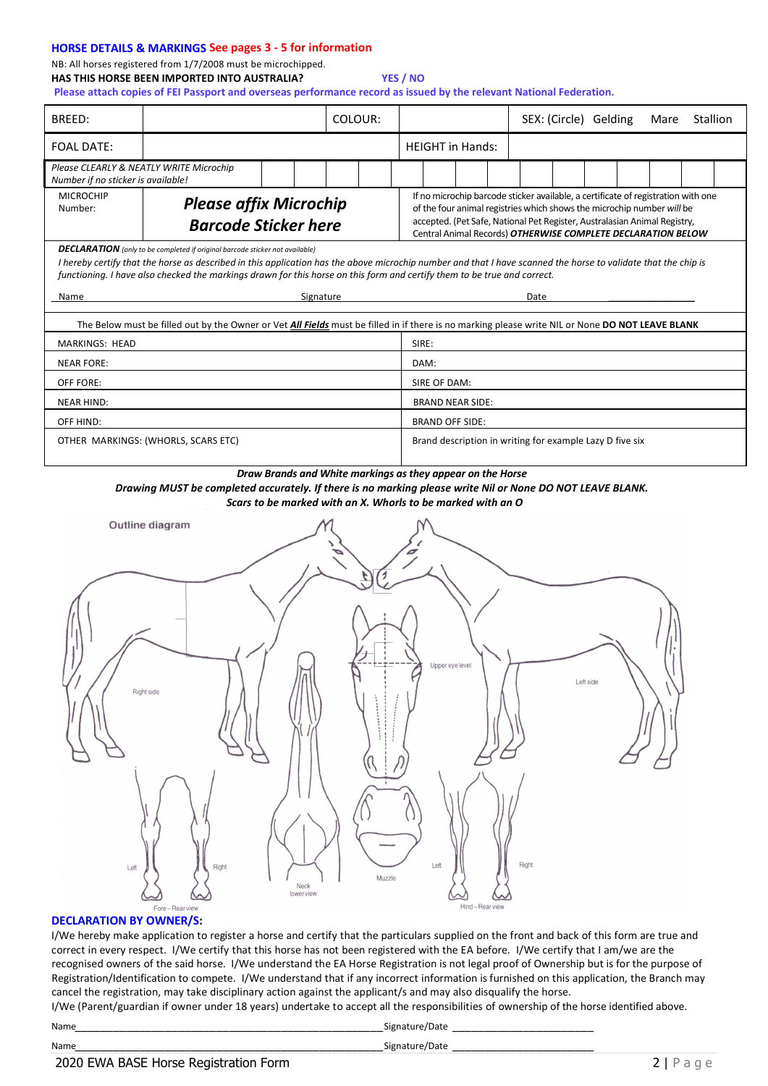#### **HORSE DETAILS & MARKINGS See pages 3 - 5 for information**

NB: All horses registered from 1/7/2008 must be microchipped. **HAS THIS HORSE BEEN IMPORTED INTO AUSTRALIA? YES / NO**

**Please attach copies of FEI Passport and overseas performance record as issued by the relevant National Federation.**

| BREED:                                                                                                                                                                                                                                                                                                                                                                            |                                                                                                                                                         |  |           | COLOUR: |                                                          |                         |  |                                                                                                                                                                                                                                                                                                          | SEX: (Circle) Gelding |  | Mare | Stallion |  |  |  |  |
|-----------------------------------------------------------------------------------------------------------------------------------------------------------------------------------------------------------------------------------------------------------------------------------------------------------------------------------------------------------------------------------|---------------------------------------------------------------------------------------------------------------------------------------------------------|--|-----------|---------|----------------------------------------------------------|-------------------------|--|----------------------------------------------------------------------------------------------------------------------------------------------------------------------------------------------------------------------------------------------------------------------------------------------------------|-----------------------|--|------|----------|--|--|--|--|
| <b>FOAL DATE:</b>                                                                                                                                                                                                                                                                                                                                                                 |                                                                                                                                                         |  |           |         |                                                          | <b>HEIGHT in Hands:</b> |  |                                                                                                                                                                                                                                                                                                          |                       |  |      |          |  |  |  |  |
| Please CLEARLY & NEATLY WRITE Microchip<br>Number if no sticker is available!                                                                                                                                                                                                                                                                                                     |                                                                                                                                                         |  |           |         |                                                          |                         |  |                                                                                                                                                                                                                                                                                                          |                       |  |      |          |  |  |  |  |
| <b>MICROCHIP</b><br>Number:                                                                                                                                                                                                                                                                                                                                                       | <b>Please affix Microchip</b><br><b>Barcode Sticker here</b>                                                                                            |  |           |         |                                                          |                         |  | If no microchip barcode sticker available, a certificate of registration with one<br>of the four animal registries which shows the microchip number will be<br>accepted. (Pet Safe, National Pet Register, Australasian Animal Registry,<br>Central Animal Records) OTHERWISE COMPLETE DECLARATION BELOW |                       |  |      |          |  |  |  |  |
| <b>DECLARATION</b> (only to be completed if original barcode sticker not available)<br>I hereby certify that the horse as described in this application has the above microchip number and that I have scanned the horse to validate that the chip is<br>functioning. I have also checked the markings drawn for this horse on this form and certify them to be true and correct. |                                                                                                                                                         |  |           |         |                                                          |                         |  |                                                                                                                                                                                                                                                                                                          |                       |  |      |          |  |  |  |  |
| Name                                                                                                                                                                                                                                                                                                                                                                              |                                                                                                                                                         |  | Signature |         |                                                          | Date                    |  |                                                                                                                                                                                                                                                                                                          |                       |  |      |          |  |  |  |  |
|                                                                                                                                                                                                                                                                                                                                                                                   | The Below must be filled out by the Owner or Vet <i>All Fields</i> must be filled in if there is no marking please write NIL or None DO NOT LEAVE BLANK |  |           |         |                                                          |                         |  |                                                                                                                                                                                                                                                                                                          |                       |  |      |          |  |  |  |  |
| <b>MARKINGS: HEAD</b>                                                                                                                                                                                                                                                                                                                                                             |                                                                                                                                                         |  |           |         | SIRE:                                                    |                         |  |                                                                                                                                                                                                                                                                                                          |                       |  |      |          |  |  |  |  |
| <b>NEAR FORE:</b>                                                                                                                                                                                                                                                                                                                                                                 |                                                                                                                                                         |  |           |         | DAM:                                                     |                         |  |                                                                                                                                                                                                                                                                                                          |                       |  |      |          |  |  |  |  |
| OFF FORE:                                                                                                                                                                                                                                                                                                                                                                         |                                                                                                                                                         |  |           |         |                                                          | SIRE OF DAM:            |  |                                                                                                                                                                                                                                                                                                          |                       |  |      |          |  |  |  |  |
| <b>NEAR HIND:</b>                                                                                                                                                                                                                                                                                                                                                                 |                                                                                                                                                         |  |           |         |                                                          | <b>BRAND NEAR SIDE:</b> |  |                                                                                                                                                                                                                                                                                                          |                       |  |      |          |  |  |  |  |
| OFF HIND:                                                                                                                                                                                                                                                                                                                                                                         |                                                                                                                                                         |  |           |         |                                                          | <b>BRAND OFF SIDE:</b>  |  |                                                                                                                                                                                                                                                                                                          |                       |  |      |          |  |  |  |  |
|                                                                                                                                                                                                                                                                                                                                                                                   | OTHER MARKINGS: (WHORLS, SCARS ETC)                                                                                                                     |  |           |         | Brand description in writing for example Lazy D five six |                         |  |                                                                                                                                                                                                                                                                                                          |                       |  |      |          |  |  |  |  |
| <b>Outline diagram</b>                                                                                                                                                                                                                                                                                                                                                            |                                                                                                                                                         |  |           |         |                                                          |                         |  |                                                                                                                                                                                                                                                                                                          |                       |  |      |          |  |  |  |  |
| Upper eye level<br>Lett side<br>Right side<br>Ħ<br>Right<br>Left<br>Right<br>Left<br>Muzzle<br>Neck<br>lower view                                                                                                                                                                                                                                                                 |                                                                                                                                                         |  |           |         |                                                          |                         |  |                                                                                                                                                                                                                                                                                                          |                       |  |      |          |  |  |  |  |

#### **DECLARATION BY OWNER/S:**

I/We hereby make application to register a horse and certify that the particulars supplied on the front and back of this form are true and correct in every respect. I/We certify that this horse has not been registered with the EA before. I/We certify that I am/we are the recognised owners of the said horse. I/We understand the EA Horse Registration is not legal proof of Ownership but is for the purpose of Registration/Identification to compete. I/We understand that if any incorrect information is furnished on this application, the Branch may cancel the registration, may take disciplinary action against the applicant/s and may also disqualify the horse.

I/We (Parent/guardian if owner under 18 years) undertake to accept all the responsibilities of ownership of the horse identified above.

| ×<br>× |
|--------|
|--------|

 $\_{\text{Signature}/\text{Date}}$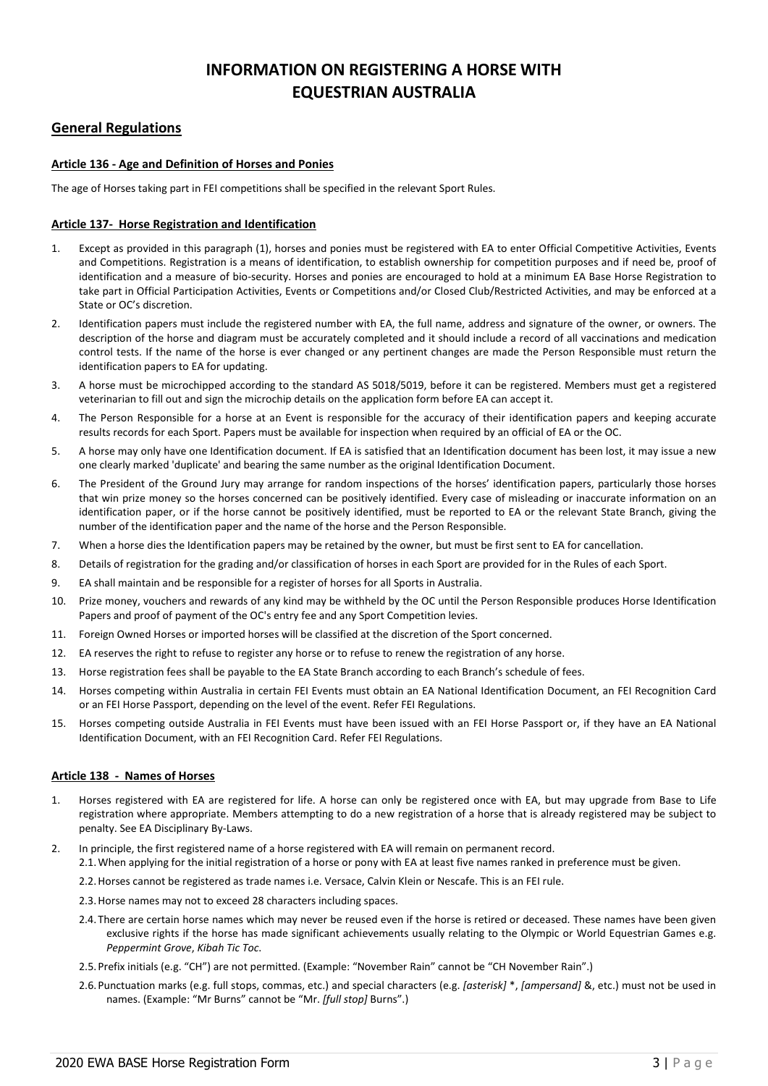# **INFORMATION ON REGISTERING A HORSE WITH EQUESTRIAN AUSTRALIA**

## **General Regulations**

## **Article 136 - Age and Definition of Horses and Ponies**

The age of Horses taking part in FEI competitions shall be specified in the relevant Sport Rules.

### **Article 137- Horse Registration and Identification**

- 1. Except as provided in this paragraph (1), horses and ponies must be registered with EA to enter Official Competitive Activities, Events and Competitions. Registration is a means of identification, to establish ownership for competition purposes and if need be, proof of identification and a measure of bio-security. Horses and ponies are encouraged to hold at a minimum EA Base Horse Registration to take part in Official Participation Activities, Events or Competitions and/or Closed Club/Restricted Activities, and may be enforced at a State or OC's discretion.
- 2. Identification papers must include the registered number with EA, the full name, address and signature of the owner, or owners. The description of the horse and diagram must be accurately completed and it should include a record of all vaccinations and medication control tests. If the name of the horse is ever changed or any pertinent changes are made the Person Responsible must return the identification papers to EA for updating.
- 3. A horse must be microchipped according to the standard AS 5018/5019, before it can be registered. Members must get a registered veterinarian to fill out and sign the microchip details on the application form before EA can accept it.
- 4. The Person Responsible for a horse at an Event is responsible for the accuracy of their identification papers and keeping accurate results records for each Sport. Papers must be available for inspection when required by an official of EA or the OC.
- 5. A horse may only have one Identification document. If EA is satisfied that an Identification document has been lost, it may issue a new one clearly marked 'duplicate' and bearing the same number as the original Identification Document.
- 6. The President of the Ground Jury may arrange for random inspections of the horses' identification papers, particularly those horses that win prize money so the horses concerned can be positively identified. Every case of misleading or inaccurate information on an identification paper, or if the horse cannot be positively identified, must be reported to EA or the relevant State Branch, giving the number of the identification paper and the name of the horse and the Person Responsible.
- 7. When a horse dies the Identification papers may be retained by the owner, but must be first sent to EA for cancellation.
- 8. Details of registration for the grading and/or classification of horses in each Sport are provided for in the Rules of each Sport.
- 9. EA shall maintain and be responsible for a register of horses for all Sports in Australia.
- 10. Prize money, vouchers and rewards of any kind may be withheld by the OC until the Person Responsible produces Horse Identification Papers and proof of payment of the OC's entry fee and any Sport Competition levies.
- 11. Foreign Owned Horses or imported horses will be classified at the discretion of the Sport concerned.
- 12. EA reserves the right to refuse to register any horse or to refuse to renew the registration of any horse.
- 13. Horse registration fees shall be payable to the EA State Branch according to each Branch's schedule of fees.
- 14. Horses competing within Australia in certain FEI Events must obtain an EA National Identification Document, an FEI Recognition Card or an FEI Horse Passport, depending on the level of the event. Refer FEI Regulations.
- 15. Horses competing outside Australia in FEI Events must have been issued with an FEI Horse Passport or, if they have an EA National Identification Document, with an FEI Recognition Card. Refer FEI Regulations.

## **Article 138 - Names of Horses**

- 1. Horses registered with EA are registered for life. A horse can only be registered once with EA, but may upgrade from Base to Life registration where appropriate. Members attempting to do a new registration of a horse that is already registered may be subject to penalty. See EA Disciplinary By-Laws.
- 2. In principle, the first registered name of a horse registered with EA will remain on permanent record. 2.1.When applying for the initial registration of a horse or pony with EA at least five names ranked in preference must be given.
	- 2.2.Horses cannot be registered as trade names i.e. Versace, Calvin Klein or Nescafe. This is an FEI rule.
	- 2.3.Horse names may not to exceed 28 characters including spaces.
	- 2.4.There are certain horse names which may never be reused even if the horse is retired or deceased. These names have been given exclusive rights if the horse has made significant achievements usually relating to the Olympic or World Equestrian Games e.g. *Peppermint Grove*, *Kibah Tic Toc*.
	- 2.5.Prefix initials (e.g. "CH") are not permitted. (Example: "November Rain" cannot be "CH November Rain".)
	- 2.6.Punctuation marks (e.g. full stops, commas, etc.) and special characters (e.g. *[asterisk]* \*, *[ampersand]* &, etc.) must not be used in names. (Example: "Mr Burns" cannot be "Mr. *[full stop]* Burns".)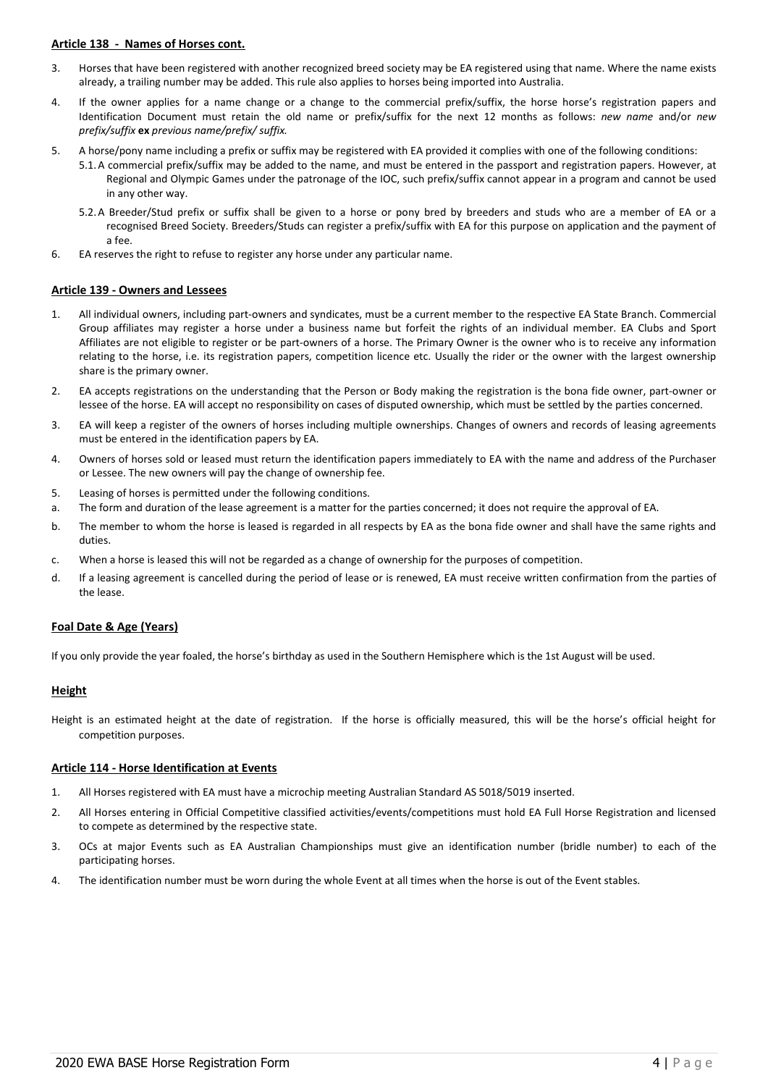## **Article 138 - Names of Horses cont.**

- 3. Horses that have been registered with another recognized breed society may be EA registered using that name. Where the name exists already, a trailing number may be added. This rule also applies to horses being imported into Australia.
- 4. If the owner applies for a name change or a change to the commercial prefix/suffix, the horse horse's registration papers and Identification Document must retain the old name or prefix/suffix for the next 12 months as follows: *new name* and/or *new prefix/suffix* **ex** *previous name/prefix/ suffix.*
- 5. A horse/pony name including a prefix or suffix may be registered with EA provided it complies with one of the following conditions:
	- 5.1.A commercial prefix/suffix may be added to the name, and must be entered in the passport and registration papers. However, at Regional and Olympic Games under the patronage of the IOC, such prefix/suffix cannot appear in a program and cannot be used in any other way.
	- 5.2.A Breeder/Stud prefix or suffix shall be given to a horse or pony bred by breeders and studs who are a member of EA or a recognised Breed Society. Breeders/Studs can register a prefix/suffix with EA for this purpose on application and the payment of a fee.
- 6. EA reserves the right to refuse to register any horse under any particular name.

#### **Article 139 - Owners and Lessees**

- 1. All individual owners, including part-owners and syndicates, must be a current member to the respective EA State Branch. Commercial Group affiliates may register a horse under a business name but forfeit the rights of an individual member. EA Clubs and Sport Affiliates are not eligible to register or be part-owners of a horse. The Primary Owner is the owner who is to receive any information relating to the horse, i.e. its registration papers, competition licence etc. Usually the rider or the owner with the largest ownership share is the primary owner.
- 2. EA accepts registrations on the understanding that the Person or Body making the registration is the bona fide owner, part-owner or lessee of the horse. EA will accept no responsibility on cases of disputed ownership, which must be settled by the parties concerned.
- 3. EA will keep a register of the owners of horses including multiple ownerships. Changes of owners and records of leasing agreements must be entered in the identification papers by EA.
- 4. Owners of horses sold or leased must return the identification papers immediately to EA with the name and address of the Purchaser or Lessee. The new owners will pay the change of ownership fee.
- 5. Leasing of horses is permitted under the following conditions.
- a. The form and duration of the lease agreement is a matter for the parties concerned; it does not require the approval of EA.
- b. The member to whom the horse is leased is regarded in all respects by EA as the bona fide owner and shall have the same rights and duties.
- c. When a horse is leased this will not be regarded as a change of ownership for the purposes of competition.
- d. If a leasing agreement is cancelled during the period of lease or is renewed, EA must receive written confirmation from the parties of the lease.

## **Foal Date & Age (Years)**

If you only provide the year foaled, the horse's birthday as used in the Southern Hemisphere which is the 1st August will be used.

## **Height**

Height is an estimated height at the date of registration. If the horse is officially measured, this will be the horse's official height for competition purposes.

#### **Article 114 - Horse Identification at Events**

- 1. All Horses registered with EA must have a microchip meeting Australian Standard AS 5018/5019 inserted.
- 2. All Horses entering in Official Competitive classified activities/events/competitions must hold EA Full Horse Registration and licensed to compete as determined by the respective state.
- 3. OCs at major Events such as EA Australian Championships must give an identification number (bridle number) to each of the participating horses.
- 4. The identification number must be worn during the whole Event at all times when the horse is out of the Event stables.